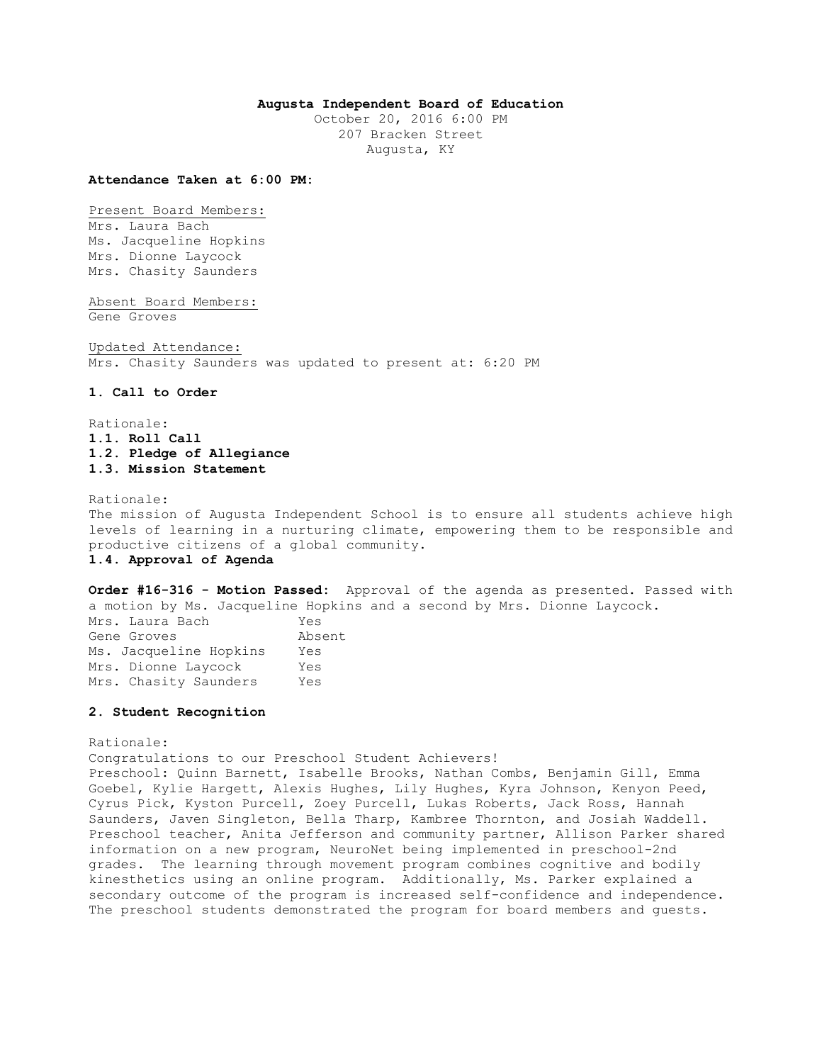## **Augusta Independent Board of Education**

October 20, 2016 6:00 PM 207 Bracken Street Augusta, KY

#### **Attendance Taken at 6:00 PM:**

Present Board Members: Mrs. Laura Bach Ms. Jacqueline Hopkins Mrs. Dionne Laycock Mrs. Chasity Saunders

Absent Board Members: Gene Groves

Updated Attendance: Mrs. Chasity Saunders was updated to present at: 6:20 PM

#### **1. Call to Order**

Rationale: **1.1. Roll Call 1.2. Pledge of Allegiance 1.3. Mission Statement** 

Rationale:

The mission of Augusta Independent School is to ensure all students achieve high levels of learning in a nurturing climate, empowering them to be responsible and productive citizens of a global community. **1.4. Approval of Agenda** 

**Order #16-316 - Motion Passed:** Approval of the agenda as presented. Passed with a motion by Ms. Jacqueline Hopkins and a second by Mrs. Dionne Laycock.

| Mrs. Laura Bach        | Yes    |
|------------------------|--------|
| Gene Groves            | Absent |
| Ms. Jacqueline Hopkins | Yes    |
| Mrs. Dionne Laycock    | Yes    |
| Mrs. Chasity Saunders  | Yes    |

#### **2. Student Recognition**

Rationale:

Congratulations to our Preschool Student Achievers!

Preschool: Quinn Barnett, Isabelle Brooks, Nathan Combs, Benjamin Gill, Emma Goebel, Kylie Hargett, Alexis Hughes, Lily Hughes, Kyra Johnson, Kenyon Peed, Cyrus Pick, Kyston Purcell, Zoey Purcell, Lukas Roberts, Jack Ross, Hannah Saunders, Javen Singleton, Bella Tharp, Kambree Thornton, and Josiah Waddell. Preschool teacher, Anita Jefferson and community partner, Allison Parker shared information on a new program, NeuroNet being implemented in preschool-2nd grades. The learning through movement program combines cognitive and bodily kinesthetics using an online program. Additionally, Ms. Parker explained a secondary outcome of the program is increased self-confidence and independence. The preschool students demonstrated the program for board members and guests.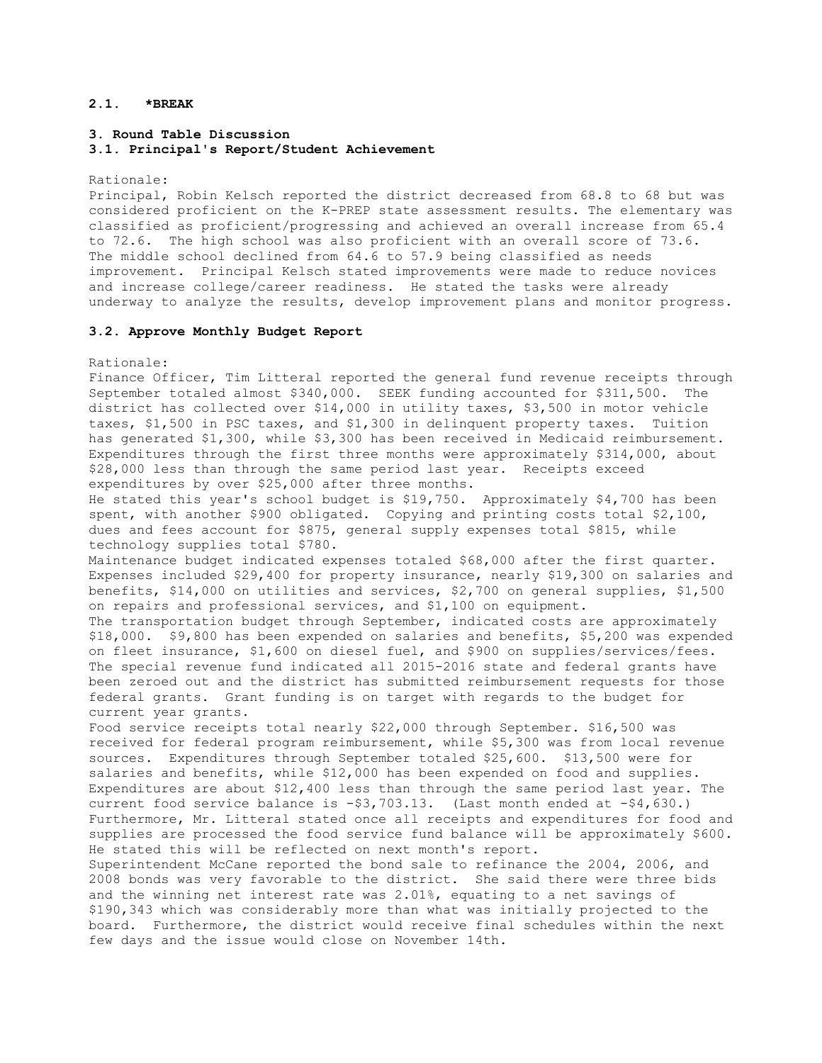# **2.1. \*BREAK**

## **3. Round Table Discussion 3.1. Principal's Report/Student Achievement**

Rationale:

Principal, Robin Kelsch reported the district decreased from 68.8 to 68 but was considered proficient on the K-PREP state assessment results. The elementary was classified as proficient/progressing and achieved an overall increase from 65.4 to 72.6. The high school was also proficient with an overall score of 73.6. The middle school declined from 64.6 to 57.9 being classified as needs improvement. Principal Kelsch stated improvements were made to reduce novices and increase college/career readiness. He stated the tasks were already underway to analyze the results, develop improvement plans and monitor progress.

### **3.2. Approve Monthly Budget Report**

Rationale:

Finance Officer, Tim Litteral reported the general fund revenue receipts through September totaled almost \$340,000. SEEK funding accounted for \$311,500. The district has collected over \$14,000 in utility taxes, \$3,500 in motor vehicle taxes, \$1,500 in PSC taxes, and \$1,300 in delinquent property taxes. Tuition has generated \$1,300, while \$3,300 has been received in Medicaid reimbursement. Expenditures through the first three months were approximately \$314,000, about \$28,000 less than through the same period last year. Receipts exceed expenditures by over \$25,000 after three months.

He stated this year's school budget is \$19,750. Approximately \$4,700 has been spent, with another \$900 obligated. Copying and printing costs total \$2,100, dues and fees account for \$875, general supply expenses total \$815, while technology supplies total \$780.

Maintenance budget indicated expenses totaled \$68,000 after the first quarter. Expenses included \$29,400 for property insurance, nearly \$19,300 on salaries and benefits, \$14,000 on utilities and services, \$2,700 on general supplies, \$1,500 on repairs and professional services, and \$1,100 on equipment.

The transportation budget through September, indicated costs are approximately \$18,000. \$9,800 has been expended on salaries and benefits, \$5,200 was expended on fleet insurance, \$1,600 on diesel fuel, and \$900 on supplies/services/fees. The special revenue fund indicated all 2015-2016 state and federal grants have been zeroed out and the district has submitted reimbursement requests for those federal grants. Grant funding is on target with regards to the budget for current year grants.

Food service receipts total nearly \$22,000 through September. \$16,500 was received for federal program reimbursement, while \$5,300 was from local revenue sources. Expenditures through September totaled \$25,600. \$13,500 were for salaries and benefits, while \$12,000 has been expended on food and supplies. Expenditures are about \$12,400 less than through the same period last year. The current food service balance is -\$3,703.13. (Last month ended at -\$4,630.) Furthermore, Mr. Litteral stated once all receipts and expenditures for food and supplies are processed the food service fund balance will be approximately \$600. He stated this will be reflected on next month's report.

Superintendent McCane reported the bond sale to refinance the 2004, 2006, and 2008 bonds was very favorable to the district. She said there were three bids and the winning net interest rate was 2.01%, equating to a net savings of \$190,343 which was considerably more than what was initially projected to the board. Furthermore, the district would receive final schedules within the next few days and the issue would close on November 14th.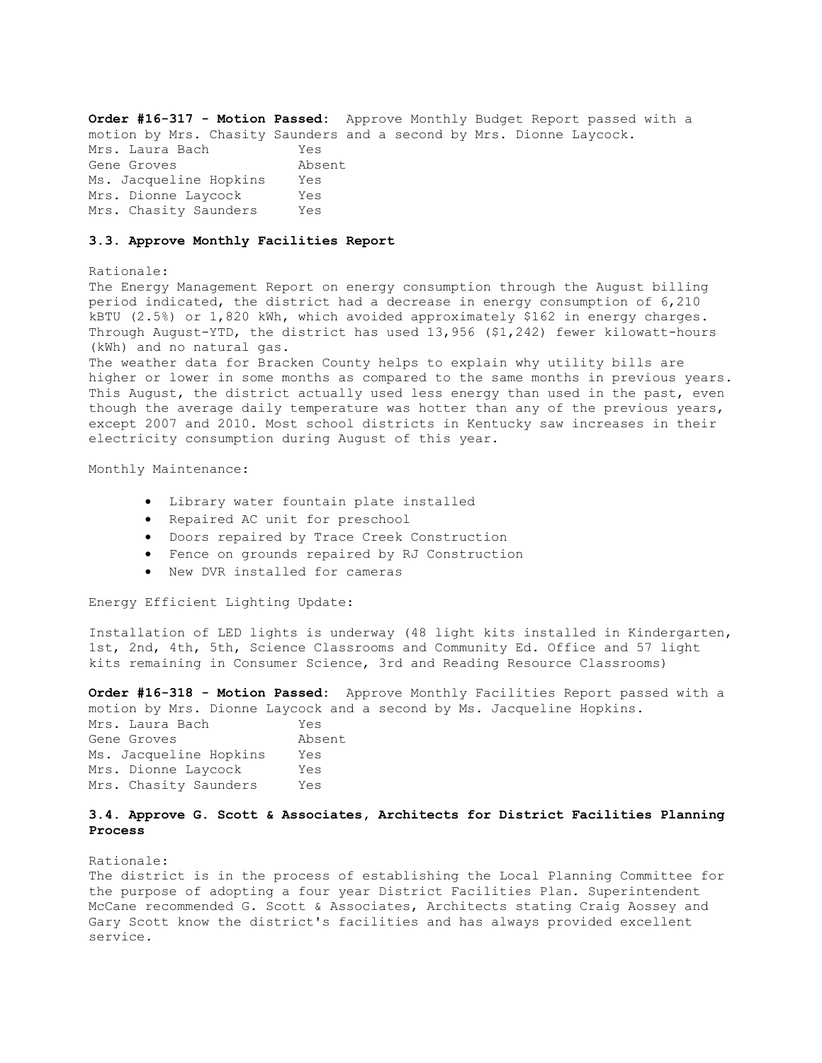**Order #16-317 - Motion Passed:** Approve Monthly Budget Report passed with a motion by Mrs. Chasity Saunders and a second by Mrs. Dionne Laycock. Mrs. Laura Bach Yes Gene Groves Absent Ms. Jacqueline Hopkins Yes Mrs. Dionne Laycock Yes Mrs. Chasity Saunders Yes

#### **3.3. Approve Monthly Facilities Report**

### Rationale:

The Energy Management Report on energy consumption through the August billing period indicated, the district had a decrease in energy consumption of 6,210 kBTU (2.5%) or 1,820 kWh, which avoided approximately \$162 in energy charges. Through August-YTD, the district has used 13,956 (\$1,242) fewer kilowatt-hours (kWh) and no natural gas.

The weather data for Bracken County helps to explain why utility bills are higher or lower in some months as compared to the same months in previous years. This August, the district actually used less energy than used in the past, even though the average daily temperature was hotter than any of the previous years, except 2007 and 2010. Most school districts in Kentucky saw increases in their electricity consumption during August of this year.

### Monthly Maintenance:

- Library water fountain plate installed
- Repaired AC unit for preschool
- Doors repaired by Trace Creek Construction
- Fence on grounds repaired by RJ Construction
- New DVR installed for cameras

Energy Efficient Lighting Update:

Installation of LED lights is underway (48 light kits installed in Kindergarten, 1st, 2nd, 4th, 5th, Science Classrooms and Community Ed. Office and 57 light kits remaining in Consumer Science, 3rd and Reading Resource Classrooms)

**Order #16-318 - Motion Passed:** Approve Monthly Facilities Report passed with a motion by Mrs. Dionne Laycock and a second by Ms. Jacqueline Hopkins.

| Mrs. Laura Bach        | Yes    |
|------------------------|--------|
| Gene Groves            | Absent |
| Ms. Jacqueline Hopkins | Yes    |
| Mrs. Dionne Laycock    | Yes    |
| Mrs. Chasity Saunders  | Yes    |

# **3.4. Approve G. Scott & Associates, Architects for District Facilities Planning Process**

### Rationale:

The district is in the process of establishing the Local Planning Committee for the purpose of adopting a four year District Facilities Plan. Superintendent McCane recommended G. Scott & Associates, Architects stating Craig Aossey and Gary Scott know the district's facilities and has always provided excellent service.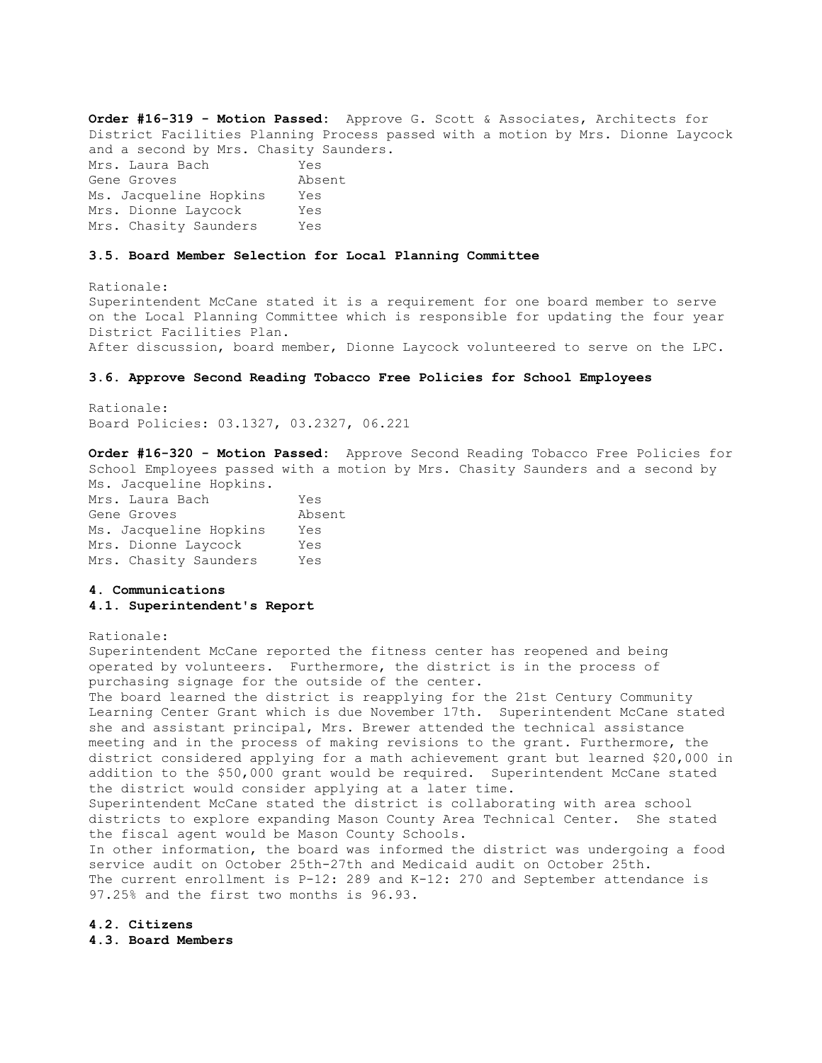**Order #16-319 - Motion Passed:** Approve G. Scott & Associates, Architects for District Facilities Planning Process passed with a motion by Mrs. Dionne Laycock and a second by Mrs. Chasity Saunders. Mrs. Laura Bach Yes Gene Groves **Absent** Ms. Jacqueline Hopkins Yes Mrs. Dionne Laycock Yes Mrs. Chasity Saunders Yes

#### **3.5. Board Member Selection for Local Planning Committee**

Rationale: Superintendent McCane stated it is a requirement for one board member to serve on the Local Planning Committee which is responsible for updating the four year District Facilities Plan. After discussion, board member, Dionne Laycock volunteered to serve on the LPC.

#### **3.6. Approve Second Reading Tobacco Free Policies for School Employees**

Rationale: Board Policies: 03.1327, 03.2327, 06.221

**Order #16-320 - Motion Passed:** Approve Second Reading Tobacco Free Policies for School Employees passed with a motion by Mrs. Chasity Saunders and a second by Ms. Jacqueline Hopkins.

| Mrs. Laura Bach        | Yes    |
|------------------------|--------|
| Gene Groves            | Absent |
| Ms. Jacqueline Hopkins | Yes    |
| Mrs. Dionne Lavcock    | Yes    |
| Mrs. Chasity Saunders  | Yes    |

## **4. Communications 4.1. Superintendent's Report**

### Rationale:

Superintendent McCane reported the fitness center has reopened and being operated by volunteers. Furthermore, the district is in the process of purchasing signage for the outside of the center.

The board learned the district is reapplying for the 21st Century Community Learning Center Grant which is due November 17th. Superintendent McCane stated she and assistant principal, Mrs. Brewer attended the technical assistance meeting and in the process of making revisions to the grant. Furthermore, the district considered applying for a math achievement grant but learned \$20,000 in addition to the \$50,000 grant would be required. Superintendent McCane stated the district would consider applying at a later time. Superintendent McCane stated the district is collaborating with area school

districts to explore expanding Mason County Area Technical Center. She stated the fiscal agent would be Mason County Schools.

In other information, the board was informed the district was undergoing a food service audit on October 25th-27th and Medicaid audit on October 25th. The current enrollment is P-12: 289 and K-12: 270 and September attendance is 97.25% and the first two months is 96.93.

**4.2. Citizens** 

**4.3. Board Members**